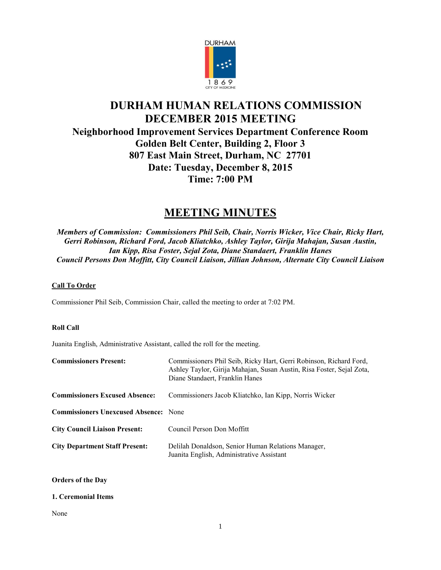

# **DURHAM HUMAN RELATIONS COMMISSION DECEMBER 2015 MEETING Neighborhood Improvement Services Department Conference Room Golden Belt Center, Building 2, Floor 3 807 East Main Street, Durham, NC 27701 Date: Tuesday, December 8, 2015 Time: 7:00 PM**

# **MEETING MINUTES**

*Members of Commission: Commissioners Phil Seib, Chair, Norris Wicker, Vice Chair, Ricky Hart, Gerri Robinson, Richard Ford, Jacob Kliatchko, Ashley Taylor, Girija Mahajan, Susan Austin, Ian Kipp, Risa Foster, Sejal Zota, Diane Standaert, Franklin Hanes Council Persons Don Moffitt, City Council Liaison, Jillian Johnson, Alternate City Council Liaison*

# **Call To Order**

Commissioner Phil Seib, Commission Chair, called the meeting to order at 7:02 PM.

# **Roll Call**

Juanita English, Administrative Assistant, called the roll for the meeting.

| <b>Commissioners Present:</b>                | Commissioners Phil Seib, Ricky Hart, Gerri Robinson, Richard Ford,<br>Ashley Taylor, Girija Mahajan, Susan Austin, Risa Foster, Sejal Zota,<br>Diane Standaert, Franklin Hanes |
|----------------------------------------------|--------------------------------------------------------------------------------------------------------------------------------------------------------------------------------|
| <b>Commissioners Excused Absence:</b>        | Commissioners Jacob Kliatchko, Ian Kipp, Norris Wicker                                                                                                                         |
| <b>Commissioners Unexcused Absence:</b> None |                                                                                                                                                                                |
| <b>City Council Liaison Present:</b>         | Council Person Don Moffitt                                                                                                                                                     |
| <b>City Department Staff Present:</b>        | Delilah Donaldson, Senior Human Relations Manager,<br>Juanita English, Administrative Assistant                                                                                |

# **Orders of the Day**

# **1. Ceremonial Items**

None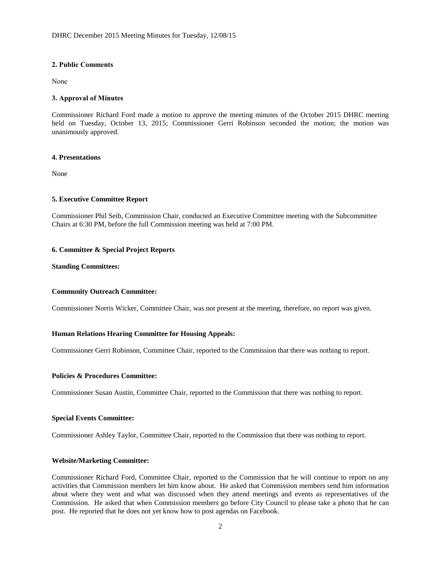## **2. Public Comments**

None

## **3. Approval of Minutes**

Commissioner Richard Ford made a motion to approve the meeting minutes of the October 2015 DHRC meeting held on Tuesday, October 13, 2015; Commissioner Gerri Robinson seconded the motion; the motion was unanimously approved.

#### **4. Presentations**

None

# **5. Executive Committee Report**

Commissioner Phil Seib, Commission Chair, conducted an Executive Committee meeting with the Subcommittee Chairs at 6:30 PM, before the full Commission meeting was held at 7:00 PM.

#### **6. Committee & Special Project Reports**

#### **Standing Committees:**

# **Community Outreach Committee:**

Commissioner Norris Wicker, Committee Chair, was not present at the meeting, therefore, no report was given.

# **Human Relations Hearing Committee for Housing Appeals:**

Commissioner Gerri Robinson, Committee Chair, reported to the Commission that there was nothing to report.

#### **Policies & Procedures Committee:**

Commissioner Susan Austin, Committee Chair, reported to the Commission that there was nothing to report.

#### **Special Events Committee:**

Commissioner Ashley Taylor, Committee Chair, reported to the Commission that there was nothing to report.

#### **Website/Marketing Committee:**

Commissioner Richard Ford, Committee Chair, reported to the Commission that he will continue to report on any activities that Commission members let him know about. He asked that Commission members send him information about where they went and what was discussed when they attend meetings and events as representatives of the Commission. He asked that when Commission members go before City Council to please take a photo that he can post. He reported that he does not yet know how to post agendas on Facebook.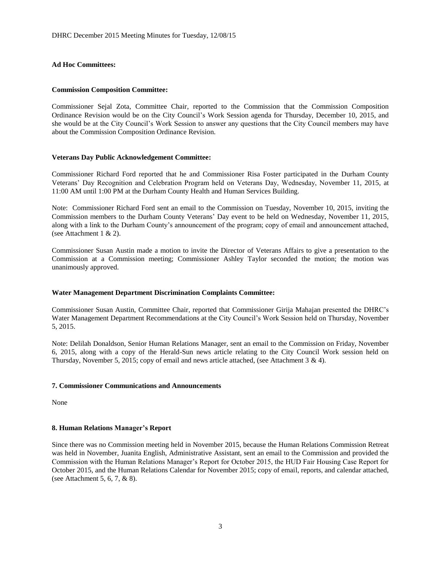# **Ad Hoc Committees:**

#### **Commission Composition Committee:**

Commissioner Sejal Zota, Committee Chair, reported to the Commission that the Commission Composition Ordinance Revision would be on the City Council's Work Session agenda for Thursday, December 10, 2015, and she would be at the City Council's Work Session to answer any questions that the City Council members may have about the Commission Composition Ordinance Revision.

#### **Veterans Day Public Acknowledgement Committee:**

Commissioner Richard Ford reported that he and Commissioner Risa Foster participated in the Durham County Veterans' Day Recognition and Celebration Program held on Veterans Day, Wednesday, November 11, 2015, at 11:00 AM until 1:00 PM at the Durham County Health and Human Services Building.

Note: Commissioner Richard Ford sent an email to the Commission on Tuesday, November 10, 2015, inviting the Commission members to the Durham County Veterans' Day event to be held on Wednesday, November 11, 2015, along with a link to the Durham County's announcement of the program; copy of email and announcement attached, (see Attachment 1 & 2).

Commissioner Susan Austin made a motion to invite the Director of Veterans Affairs to give a presentation to the Commission at a Commission meeting; Commissioner Ashley Taylor seconded the motion; the motion was unanimously approved.

# **Water Management Department Discrimination Complaints Committee:**

Commissioner Susan Austin, Committee Chair, reported that Commissioner Girija Mahajan presented the DHRC's Water Management Department Recommendations at the City Council's Work Session held on Thursday, November 5, 2015.

Note: Delilah Donaldson, Senior Human Relations Manager, sent an email to the Commission on Friday, November 6, 2015, along with a copy of the Herald-Sun news article relating to the City Council Work session held on Thursday, November 5, 2015; copy of email and news article attached, (see Attachment 3 & 4).

# **7. Commissioner Communications and Announcements**

None

# **8. Human Relations Manager's Report**

Since there was no Commission meeting held in November 2015, because the Human Relations Commission Retreat was held in November, Juanita English, Administrative Assistant, sent an email to the Commission and provided the Commission with the Human Relations Manager's Report for October 2015, the HUD Fair Housing Case Report for October 2015, and the Human Relations Calendar for November 2015; copy of email, reports, and calendar attached, (see Attachment 5, 6, 7, & 8).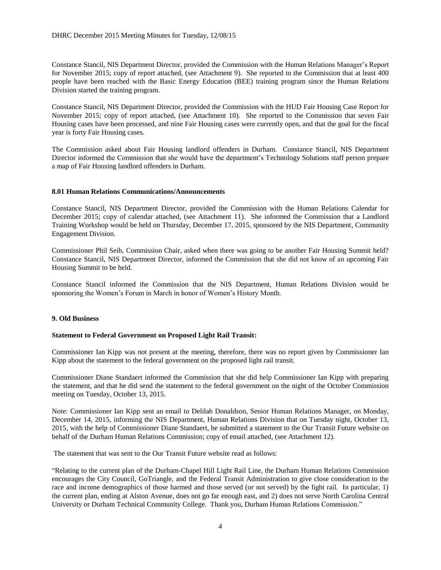Constance Stancil, NIS Department Director, provided the Commission with the Human Relations Manager's Report for November 2015; copy of report attached, (see Attachment 9). She reported to the Commission that at least 400 people have been reached with the Basic Energy Education (BEE) training program since the Human Relations Division started the training program.

Constance Stancil, NIS Department Director, provided the Commission with the HUD Fair Housing Case Report for November 2015; copy of report attached, (see Attachment 10). She reported to the Commission that seven Fair Housing cases have been processed, and nine Fair Housing cases were currently open, and that the goal for the fiscal year is forty Fair Housing cases.

The Commission asked about Fair Housing landlord offenders in Durham. Constance Stancil, NIS Department Director informed the Commission that she would have the department's Technology Solutions staff person prepare a map of Fair Housing landlord offenders in Durham.

#### **8.01 Human Relations Communications/Announcements**

Constance Stancil, NIS Department Director, provided the Commission with the Human Relations Calendar for December 2015; copy of calendar attached, (see Attachment 11). She informed the Commission that a Landlord Training Workshop would be held on Thursday, December 17, 2015, sponsored by the NIS Department, Community Engagement Division.

Commissioner Phil Seib, Commission Chair, asked when there was going to be another Fair Housing Summit held? Constance Stancil, NIS Department Director, informed the Commission that she did not know of an upcoming Fair Housing Summit to be held.

Constance Stancil informed the Commission that the NIS Department, Human Relations Division would be sponsoring the Women's Forum in March in honor of Women's History Month.

# **9. Old Business**

#### **Statement to Federal Government on Proposed Light Rail Transit:**

Commissioner Ian Kipp was not present at the meeting, therefore, there was no report given by Commissioner Ian Kipp about the statement to the federal government on the proposed light rail transit.

Commissioner Diane Standaert informed the Commission that she did help Commissioner Ian Kipp with preparing the statement, and that he did send the statement to the federal government on the night of the October Commission meeting on Tuesday, October 13, 2015.

Note: Commissioner Ian Kipp sent an email to Delilah Donaldson, Senior Human Relations Manager, on Monday, December 14, 2015, informing the NIS Department, Human Relations Division that on Tuesday night, October 13, 2015, with the help of Commissioner Diane Standaert, he submitted a statement to the Our Transit Future website on behalf of the Durham Human Relations Commission; copy of email attached, (see Attachment 12).

The statement that was sent to the Our Transit Future website read as follows:

"Relating to the current plan of the Durham-Chapel Hill Light Rail Line, the Durham Human Relations Commission encourages the City Council, GoTriangle, and the Federal Transit Administration to give close consideration to the race and income demographics of those harmed and those served (or not served) by the light rail. In particular, 1) the current plan, ending at Alston Avenue, does not go far enough east, and 2) does not serve North Carolina Central University or Durham Technical Community College. Thank you, Durham Human Relations Commission."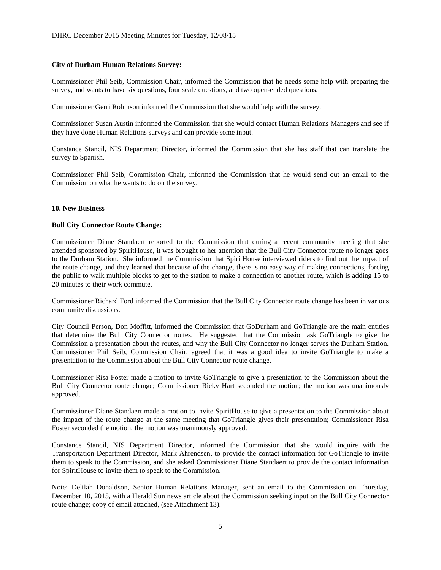## **City of Durham Human Relations Survey:**

Commissioner Phil Seib, Commission Chair, informed the Commission that he needs some help with preparing the survey, and wants to have six questions, four scale questions, and two open-ended questions.

Commissioner Gerri Robinson informed the Commission that she would help with the survey.

Commissioner Susan Austin informed the Commission that she would contact Human Relations Managers and see if they have done Human Relations surveys and can provide some input.

Constance Stancil, NIS Department Director, informed the Commission that she has staff that can translate the survey to Spanish.

Commissioner Phil Seib, Commission Chair, informed the Commission that he would send out an email to the Commission on what he wants to do on the survey.

#### **10. New Business**

#### **Bull City Connector Route Change:**

Commissioner Diane Standaert reported to the Commission that during a recent community meeting that she attended sponsored by SpiritHouse, it was brought to her attention that the Bull City Connector route no longer goes to the Durham Station. She informed the Commission that SpiritHouse interviewed riders to find out the impact of the route change, and they learned that because of the change, there is no easy way of making connections, forcing the public to walk multiple blocks to get to the station to make a connection to another route, which is adding 15 to 20 minutes to their work commute.

Commissioner Richard Ford informed the Commission that the Bull City Connector route change has been in various community discussions.

City Council Person, Don Moffitt, informed the Commission that GoDurham and GoTriangle are the main entities that determine the Bull City Connector routes. He suggested that the Commission ask GoTriangle to give the Commission a presentation about the routes, and why the Bull City Connector no longer serves the Durham Station. Commissioner Phil Seib, Commission Chair, agreed that it was a good idea to invite GoTriangle to make a presentation to the Commission about the Bull City Connector route change.

Commissioner Risa Foster made a motion to invite GoTriangle to give a presentation to the Commission about the Bull City Connector route change; Commissioner Ricky Hart seconded the motion; the motion was unanimously approved.

Commissioner Diane Standaert made a motion to invite SpiritHouse to give a presentation to the Commission about the impact of the route change at the same meeting that GoTriangle gives their presentation; Commissioner Risa Foster seconded the motion; the motion was unanimously approved.

Constance Stancil, NIS Department Director, informed the Commission that she would inquire with the Transportation Department Director, Mark Ahrendsen, to provide the contact information for GoTriangle to invite them to speak to the Commission, and she asked Commissioner Diane Standaert to provide the contact information for SpiritHouse to invite them to speak to the Commission.

Note: Delilah Donaldson, Senior Human Relations Manager, sent an email to the Commission on Thursday, December 10, 2015, with a Herald Sun news article about the Commission seeking input on the Bull City Connector route change; copy of email attached, (see Attachment 13).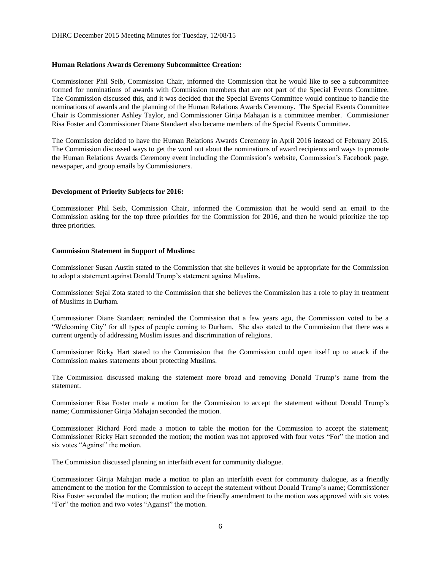## **Human Relations Awards Ceremony Subcommittee Creation:**

Commissioner Phil Seib, Commission Chair, informed the Commission that he would like to see a subcommittee formed for nominations of awards with Commission members that are not part of the Special Events Committee. The Commission discussed this, and it was decided that the Special Events Committee would continue to handle the nominations of awards and the planning of the Human Relations Awards Ceremony. The Special Events Committee Chair is Commissioner Ashley Taylor, and Commissioner Girija Mahajan is a committee member. Commissioner Risa Foster and Commissioner Diane Standaert also became members of the Special Events Committee.

The Commission decided to have the Human Relations Awards Ceremony in April 2016 instead of February 2016. The Commission discussed ways to get the word out about the nominations of award recipients and ways to promote the Human Relations Awards Ceremony event including the Commission's website, Commission's Facebook page, newspaper, and group emails by Commissioners.

#### **Development of Priority Subjects for 2016:**

Commissioner Phil Seib, Commission Chair, informed the Commission that he would send an email to the Commission asking for the top three priorities for the Commission for 2016, and then he would prioritize the top three priorities.

#### **Commission Statement in Support of Muslims:**

Commissioner Susan Austin stated to the Commission that she believes it would be appropriate for the Commission to adopt a statement against Donald Trump's statement against Muslims.

Commissioner Sejal Zota stated to the Commission that she believes the Commission has a role to play in treatment of Muslims in Durham.

Commissioner Diane Standaert reminded the Commission that a few years ago, the Commission voted to be a "Welcoming City" for all types of people coming to Durham. She also stated to the Commission that there was a current urgently of addressing Muslim issues and discrimination of religions.

Commissioner Ricky Hart stated to the Commission that the Commission could open itself up to attack if the Commission makes statements about protecting Muslims.

The Commission discussed making the statement more broad and removing Donald Trump's name from the statement.

Commissioner Risa Foster made a motion for the Commission to accept the statement without Donald Trump's name; Commissioner Girija Mahajan seconded the motion.

Commissioner Richard Ford made a motion to table the motion for the Commission to accept the statement; Commissioner Ricky Hart seconded the motion; the motion was not approved with four votes "For" the motion and six votes "Against" the motion.

The Commission discussed planning an interfaith event for community dialogue.

Commissioner Girija Mahajan made a motion to plan an interfaith event for community dialogue, as a friendly amendment to the motion for the Commission to accept the statement without Donald Trump's name; Commissioner Risa Foster seconded the motion; the motion and the friendly amendment to the motion was approved with six votes "For" the motion and two votes "Against" the motion.